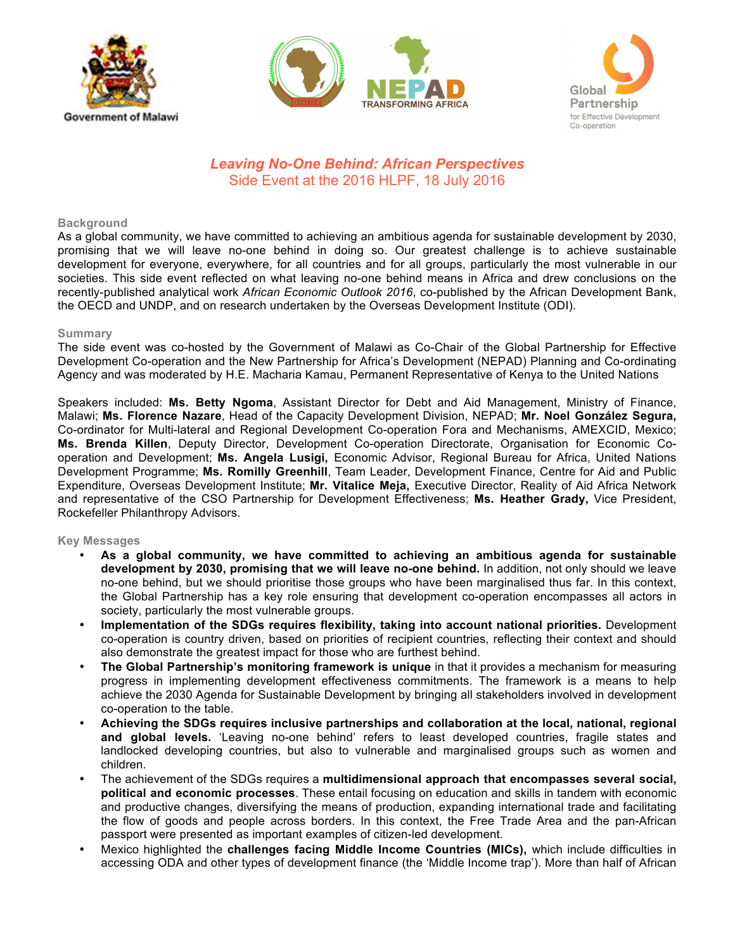





# *Leaving No-One Behind: African Perspectives* Side Event at the 2016 HLPF, 18 July 2016

#### **Background**

As a global community, we have committed to achieving an ambitious agenda for sustainable development by 2030, promising that we will leave no-one behind in doing so. Our greatest challenge is to achieve sustainable development for everyone, everywhere, for all countries and for all groups, particularly the most vulnerable in our societies. This side event reflected on what leaving no-one behind means in Africa and drew conclusions on the recently-published analytical work *African Economic Outlook 2016*, co-published by the African Development Bank, the OECD and UNDP, and on research undertaken by the Overseas Development Institute (ODI).

#### **Summary**

The side event was co-hosted by the Government of Malawi as Co-Chair of the Global Partnership for Effective Development Co-operation and the New Partnership for Africa's Development (NEPAD) Planning and Co-ordinating Agency and was moderated by H.E. Macharia Kamau, Permanent Representative of Kenya to the United Nations

Speakers included: **Ms. Betty Ngoma**, Assistant Director for Debt and Aid Management, Ministry of Finance, Malawi; **Ms. Florence Nazare**, Head of the Capacity Development Division, NEPAD; **Mr. Noel González Segura,** Co-ordinator for Multi-lateral and Regional Development Co-operation Fora and Mechanisms, AMEXCID, Mexico; **Ms. Brenda Killen**, Deputy Director, Development Co-operation Directorate, Organisation for Economic Cooperation and Development; **Ms. Angela Lusigi,** Economic Advisor, Regional Bureau for Africa, United Nations Development Programme; **Ms. Romilly Greenhill**, Team Leader, Development Finance, Centre for Aid and Public Expenditure, Overseas Development Institute; **Mr. Vitalice Meja,** Executive Director, Reality of Aid Africa Network and representative of the CSO Partnership for Development Effectiveness; **Ms. Heather Grady,** Vice President, Rockefeller Philanthropy Advisors.

### **Key Messages**

- **As a global community, we have committed to achieving an ambitious agenda for sustainable development by 2030, promising that we will leave no-one behind.** In addition, not only should we leave no-one behind, but we should prioritise those groups who have been marginalised thus far. In this context, the Global Partnership has a key role ensuring that development co-operation encompasses all actors in society, particularly the most vulnerable groups.
- **Implementation of the SDGs requires flexibility, taking into account national priorities.** Development co-operation is country driven, based on priorities of recipient countries, reflecting their context and should also demonstrate the greatest impact for those who are furthest behind.
- **The Global Partnership's monitoring framework is unique** in that it provides a mechanism for measuring progress in implementing development effectiveness commitments. The framework is a means to help achieve the 2030 Agenda for Sustainable Development by bringing all stakeholders involved in development co-operation to the table.
- **Achieving the SDGs requires inclusive partnerships and collaboration at the local, national, regional and global levels.** 'Leaving no-one behind' refers to least developed countries, fragile states and landlocked developing countries, but also to vulnerable and marginalised groups such as women and children.
- The achievement of the SDGs requires a **multidimensional approach that encompasses several social, political and economic processes**. These entail focusing on education and skills in tandem with economic and productive changes, diversifying the means of production, expanding international trade and facilitating the flow of goods and people across borders. In this context, the Free Trade Area and the pan-African passport were presented as important examples of citizen-led development.
- Mexico highlighted the **challenges facing Middle Income Countries (MICs),** which include difficulties in accessing ODA and other types of development finance (the 'Middle Income trap'). More than half of African